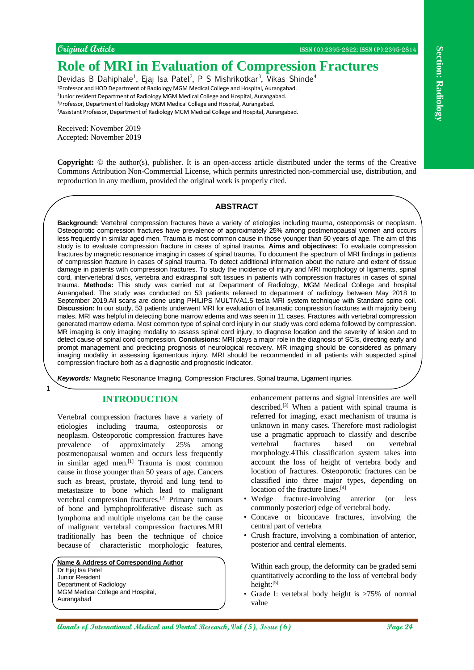**Original Article** ISSN (O):2395-2822; ISSN (P):2395-2814

# **Role of MRI in Evaluation of Compression Fractures**

Devidas B Dahiphale<sup>1</sup>, Ejaj Isa Patel<sup>2</sup>, P S Mishrikotkar<sup>3</sup>, Vikas Shinde<sup>4</sup> Professor and HOD Department of Radiology MGM Medical College and Hospital, Aurangabad. Junior resident Department of Radiology MGM Medical College and Hospital, Aurangabad. Professor, Department of Radiology MGM Medical College and Hospital, Aurangabad. Assistant Professor, Department of Radiology MGM Medical College and Hospital, Aurangabad.

Received: November 2019 Accepted: November 2019

**Copyright:** © the author(s), publisher. It is an open-access article distributed under the terms of the Creative Commons Attribution Non-Commercial License, which permits unrestricted non-commercial use, distribution, and reproduction in any medium, provided the original work is properly cited.

#### **ABSTRACT**

**Annals is the section of Comparison Comparison Fracture Comparison in the section of Fracture Comparison in the section of the section of the section of the section of the section of the section of the section of the sect Background:** Vertebral compression fractures have a variety of etiologies including trauma, osteoporosis or neoplasm. Osteoporotic compression fractures have prevalence of approximately 25% among postmenopausal women and occurs less frequently in similar aged men. Trauma is most common cause in those younger than 50 years of age. The aim of this study is to evaluate compression fracture in cases of spinal trauma. **Aims and objectives:** To evaluate compression fractures by magnetic resonance imaging in cases of spinal trauma. To document the spectrum of MRI findings in patients of compression fracture in cases of spinal trauma. To detect additional information about the nature and extent of tissue damage in patients with compression fractures. To study the incidence of injury and MRI morphology of ligaments, spinal cord, intervertebral discs, vertebra and extraspinal soft tissues in patients with compression fractures in cases of spinal trauma. **Methods:** This study was carried out at Department of Radiology, MGM Medical College and hospital Aurangabad. The study was conducted on 53 patients refereed to department of radiology between May 2018 to September 2019.All scans are done using PHILIPS MULTIVA1.5 tesla MRI system technique with Standard spine coil. **Discussion:** In our study, 53 patients underwent MRI for evaluation of traumatic compression fractures with majority being males. MRI was helpful in detecting bone marrow edema and was seen in 11 cases. Fractures with vertebral compression generated marrow edema. Most common type of spinal cord injury in our study was cord edema followed by compression. MR imaging is only imaging modality to assess spinal cord injury, to diagnose location and the severity of lesion and to detect cause of spinal cord compression. **Conclusions:** MRI plays a major role in the diagnosis of SCIs, directing early and prompt management and predicting prognosis of neurological recovery. MR imaging should be considered as primary imaging modality in assessing ligamentous injury. MRI should be recommended in all patients with suspected spinal compression fracture both as a diagnostic and prognostic indicator.

*Keywords:* Magnetic Resonance Imaging, Compression Fractures, Spinal trauma, Ligament injuries.

# **INTRODUCTION**

1

Vertebral compression fractures have a variety of etiologies including trauma, osteoporosis or neoplasm. Osteoporotic compression fractures have prevalence of approximately 25% among postmenopausal women and occurs less frequently in similar aged men.[1] Trauma is most common cause in those younger than 50 years of age. Cancers such as breast, prostate, thyroid and lung tend to metastasize to bone which lead to malignant vertebral compression fractures.[2] Primary tumours of bone and lymphoproliferative disease such as lymphoma and multiple myeloma can be the cause of malignant vertebral compression fractures.MRI traditionally has been the technique of choice because of characteristic morphologic features,

**Name & Address of Corresponding Author** Dr Ejaj Isa Patel Junior Resident Department of Radiology MGM Medical College and Hospital, Aurangabad

enhancement patterns and signal intensities are well described.<sup>[3]</sup> When a patient with spinal trauma is referred for imaging, exact mechanism of trauma is unknown in many cases. Therefore most radiologist use a pragmatic approach to classify and describe vertebral fractures based on vertebral morphology.4This classification system takes into account the loss of height of vertebra body and location of fractures. Osteoporotic fractures can be classified into three major types, depending on location of the fracture lines.<sup>[4]</sup>

- Wedge fracture-involving anterior (or less commonly posterior) edge of vertebral body.
- Concave or biconcave fractures, involving the central part of vertebra
- Crush fracture, involving a combination of anterior, posterior and central elements.

Within each group, the deformity can be graded semi quantitatively according to the loss of vertebral body height:[5]

• Grade I: vertebral body height is >75% of normal value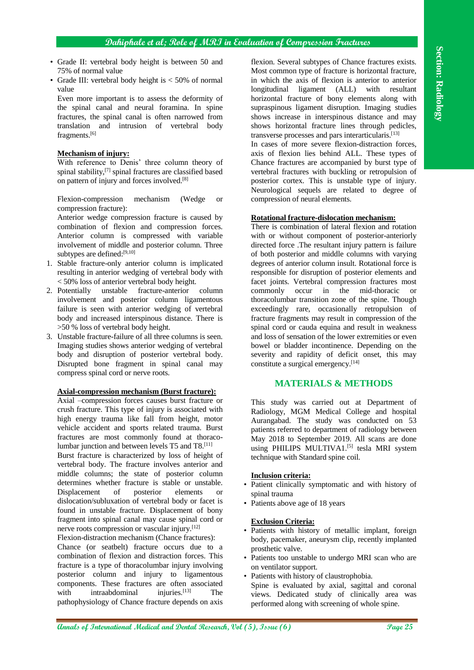- Grade II: vertebral body height is between 50 and 75% of normal value
- Grade III: vertebral body height is  $< 50\%$  of normal value

Even more important is to assess the deformity of the spinal canal and neural foramina. In spine fractures, the spinal canal is often narrowed from translation and intrusion of vertebral body fragments.[6]

#### **Mechanism of injury:**

With reference to Denis' three column theory of spinal stability,<sup>[7]</sup> spinal fractures are classified based on pattern of injury and forces involved.[8]

Flexion-compression mechanism (Wedge or compression fracture):

Anterior wedge compression fracture is caused by combination of flexion and compression forces. Anterior column is compressed with variable involvement of middle and posterior column. Three subtypes are defined:<sup>[9,10]</sup>

- 1. Stable fracture-only anterior column is implicated resulting in anterior wedging of vertebral body with < 50% loss of anterior vertebral body height.
- 2. Potentially unstable fracture-anterior column involvement and posterior column ligamentous failure is seen with anterior wedging of vertebral body and increased interspinous distance. There is >50 % loss of vertebral body height.
- 3. Unstable fracture-failure of all three columns is seen. Imaging studies shows anterior wedging of vertebral body and disruption of posterior vertebral body. Disrupted bone fragment in spinal canal may compress spinal cord or nerve roots.

# **Axial-compression mechanism (Burst fracture):**

Axial –compression forces causes burst fracture or crush fracture. This type of injury is associated with high energy trauma like fall from height, motor vehicle accident and sports related trauma. Burst fractures are most commonly found at thoracolumbar junction and between levels T5 and T8.[11]

Burst fracture is characterized by loss of height of vertebral body. The fracture involves anterior and middle columns; the state of posterior column determines whether fracture is stable or unstable. Displacement of posterior elements or dislocation/subluxation of vertebral body or facet is found in unstable fracture. Displacement of bony fragment into spinal canal may cause spinal cord or nerve roots compression or vascular injury.[12]

Flexion-distraction mechanism (Chance fractures):

Chance (or seatbelt) fracture occurs due to a combination of flexion and distraction forces. This fracture is a type of thoracolumbar injury involving posterior column and injury to ligamentous components. These fractures are often associated<br>with intraabdominal injuries.<sup>[13]</sup> The with intraabdominal injuries.<sup>[13]</sup> The pathophysiology of Chance fracture depends on axis

flexion. Several subtypes of Chance fractures exists. Most common type of fracture is horizontal fracture, in which the axis of flexion is anterior to anterior longitudinal ligament (ALL) with resultant horizontal fracture of bony elements along with supraspinous ligament disruption. Imaging studies shows increase in interspinous distance and may shows horizontal fracture lines through pedicles, transverse processes and pars interarticularis.<sup>[13]</sup>

In cases of more severe flexion-distraction forces, axis of flexion lies behind ALL. These types of Chance fractures are accompanied by burst type of vertebral fractures with buckling or retropulsion of posterior cortex. This is unstable type of injury. Neurological sequels are related to degree of compression of neural elements.

#### **Rotational fracture-dislocation mechanism:**

**Cons. II.** excited toolyon international Medical and Dental Annals of Conserversion international Medical and Dental and Dental Annals of Dental Annals of Dental Annals of Dental Annals of Dental Annals of Dental Annals There is combination of lateral flexion and rotation with or without component of posterior-anteriorly directed force .The resultant injury pattern is failure of both posterior and middle columns with varying degrees of anterior column insult. Rotational force is responsible for disruption of posterior elements and facet joints. Vertebral compression fractures most commonly occur in the mid-thoracic or thoracolumbar transition zone of the spine. Though exceedingly rare, occasionally retropulsion of fracture fragments may result in compression of the spinal cord or cauda equina and result in weakness and loss of sensation of the lower extremities or even bowel or bladder incontinence. Depending on the severity and rapidity of deficit onset, this may constitute a surgical emergency.[14]

# **MATERIALS & METHODS**

This study was carried out at Department of Radiology, MGM Medical College and hospital Aurangabad. The study was conducted on 53 patients referred to department of radiology between May 2018 to September 2019. All scans are done using PHILIPS MULTIVA1.<sup>[5]</sup> tesla MRI system technique with Standard spine coil.

#### **Inclusion criteria:**

- Patient clinically symptomatic and with history of spinal trauma
- Patients above age of 18 years

#### **Exclusion Criteria:**

- Patients with history of metallic implant, foreign body, pacemaker, aneurysm clip, recently implanted prosthetic valve.
- Patients too unstable to undergo MRI scan who are on ventilator support.
- Patients with history of claustrophobia.
- Spine is evaluated by axial, sagittal and coronal views. Dedicated study of clinically area was performed along with screening of whole spine.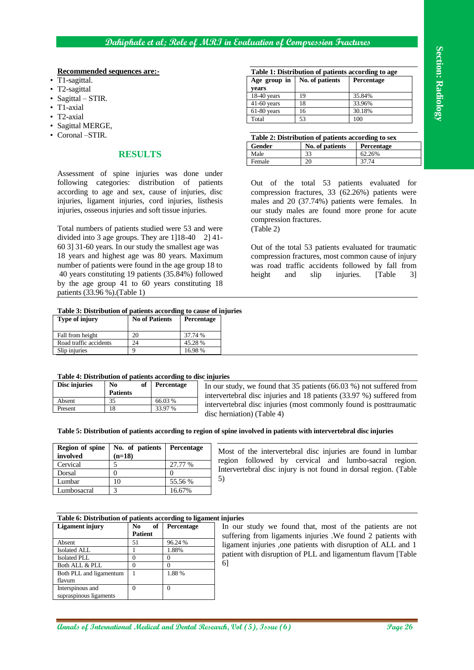#### **Recommended sequences are:-**

- T1-sagittal.
- T2-sagittal
- Sagittal STIR.
- T1-axial
- T2-axial
- Sagittal MERGE,
- Coronal –STIR.

# **RESULTS**

#### **Table 3: Distribution of patients according to cause of injuries**

| <b>Type of injury</b>  | <b>No of Patients</b> | <b>Percentage</b> |
|------------------------|-----------------------|-------------------|
| Fall from height       | 20                    | 37.74 %           |
| Road traffic accidents | 24                    | 45.28%            |
| Slip injuries          |                       | 16.98%            |

| Table 4: Distribution of patients according to disc injuries |  |
|--------------------------------------------------------------|--|
|                                                              |  |

| Disc injuries | No<br><b>Patients</b> | of | <b>Percentage</b> | In<br>in |
|---------------|-----------------------|----|-------------------|----------|
| Absent        | 35                    |    | 66.03 %           | in       |
| Present       | 18                    |    | 33.97 %           |          |

#### **Table 5: Distribution of patients according to region of spine involved in patients with intervertebral disc injuries**

| <b>Region of spine</b><br>involved | No. of patients   Percentage<br>$(n=18)$ |         |
|------------------------------------|------------------------------------------|---------|
| Cervical                           |                                          | 27.77 % |
| Dorsal                             |                                          |         |
| Lumbar                             |                                          | 55.56 % |
| Lumbosacral                        |                                          | 16.67%  |

#### **Table 6: Distribution of patients according to ligament injuries**

| <b>Recommended sequences are:-</b>                                                                                                                                               |                       |                       |                  |                   |                            |                        | Table 1: Distribution of patients according to age                                                                    |                                                                                                                                                                                                                                                         |
|----------------------------------------------------------------------------------------------------------------------------------------------------------------------------------|-----------------------|-----------------------|------------------|-------------------|----------------------------|------------------------|-----------------------------------------------------------------------------------------------------------------------|---------------------------------------------------------------------------------------------------------------------------------------------------------------------------------------------------------------------------------------------------------|
| T1-sagittal.                                                                                                                                                                     |                       |                       |                  |                   |                            | Age group in           | No. of patients                                                                                                       | Percentage                                                                                                                                                                                                                                              |
| T2-sagittal                                                                                                                                                                      |                       |                       |                  |                   | years<br>$18-40$ years     | 19                     | 35.84%                                                                                                                |                                                                                                                                                                                                                                                         |
| T1-axial                                                                                                                                                                         | Sagittal - STIR.      |                       |                  | 41-60 years       | 18                         | 33.96%                 |                                                                                                                       |                                                                                                                                                                                                                                                         |
| T2-axial                                                                                                                                                                         |                       |                       |                  |                   |                            | 61-80 years            | 16                                                                                                                    | 30.18%                                                                                                                                                                                                                                                  |
| Sagittal MERGE,                                                                                                                                                                  |                       |                       |                  |                   |                            | Total                  | 53                                                                                                                    | 100                                                                                                                                                                                                                                                     |
| Coronal -STIR.                                                                                                                                                                   |                       |                       |                  |                   |                            |                        | Table 2: Distribution of patients according to sex                                                                    |                                                                                                                                                                                                                                                         |
|                                                                                                                                                                                  |                       |                       |                  |                   |                            | Gender                 | No. of patients                                                                                                       | <b>Percentage</b>                                                                                                                                                                                                                                       |
|                                                                                                                                                                                  |                       | <b>RESULTS</b>        |                  |                   |                            | Male                   | 33                                                                                                                    | 62.26%                                                                                                                                                                                                                                                  |
|                                                                                                                                                                                  |                       |                       |                  |                   |                            | Female                 | 20                                                                                                                    | 37.74                                                                                                                                                                                                                                                   |
| Assessment of spine injuries was done under                                                                                                                                      |                       |                       |                  |                   |                            |                        |                                                                                                                       |                                                                                                                                                                                                                                                         |
| following                                                                                                                                                                        | categories:           |                       | distribution     |                   | of patients                |                        |                                                                                                                       | Out of the total 53 patients evaluated for                                                                                                                                                                                                              |
| according to age and sex, cause of injuries, disc                                                                                                                                |                       |                       |                  |                   |                            |                        |                                                                                                                       | compression fractures, 33 (62.26%) patients were                                                                                                                                                                                                        |
| injuries, ligament injuries, cord injuries, listhesis<br>injuries, osseous injuries and soft tissue injuries.                                                                    |                       |                       |                  |                   |                            |                        |                                                                                                                       | males and 20 (37.74%) patients were females. In                                                                                                                                                                                                         |
|                                                                                                                                                                                  |                       |                       |                  |                   |                            | compression fractures. |                                                                                                                       | our study males are found more prone for acute                                                                                                                                                                                                          |
| Total numbers of patients studied were 53 and were                                                                                                                               |                       |                       |                  |                   |                            | (Table 2)              |                                                                                                                       |                                                                                                                                                                                                                                                         |
| divided into 3 age groups. They are 1]18-40 2] 41-                                                                                                                               |                       |                       |                  |                   |                            |                        |                                                                                                                       |                                                                                                                                                                                                                                                         |
| 60 3] 31-60 years. In our study the smallest age was                                                                                                                             |                       |                       |                  |                   |                            |                        |                                                                                                                       | Out of the total 53 patients evaluated for traumatic                                                                                                                                                                                                    |
| 18 years and highest age was 80 years. Maximum                                                                                                                                   |                       |                       |                  |                   |                            |                        |                                                                                                                       | compression fractures, most common cause of injury                                                                                                                                                                                                      |
| number of patients were found in the age group 18 to                                                                                                                             |                       |                       |                  |                   |                            |                        |                                                                                                                       | was road traffic accidents followed by fall from                                                                                                                                                                                                        |
| 40 years constituting 19 patients (35.84%) followed                                                                                                                              |                       |                       |                  |                   |                            | height<br>and          | slip                                                                                                                  | [Table<br>injuries.<br>3]                                                                                                                                                                                                                               |
| by the age group 41 to 60 years constituting 18                                                                                                                                  |                       |                       |                  |                   |                            |                        |                                                                                                                       |                                                                                                                                                                                                                                                         |
| patients (33.96 %).(Table 1)                                                                                                                                                     |                       |                       |                  |                   |                            |                        |                                                                                                                       |                                                                                                                                                                                                                                                         |
| Table 3: Distribution of patients according to cause of injuries                                                                                                                 |                       |                       |                  |                   |                            |                        |                                                                                                                       |                                                                                                                                                                                                                                                         |
| Type of injury                                                                                                                                                                   |                       | <b>No of Patients</b> |                  | Percentage        |                            |                        |                                                                                                                       |                                                                                                                                                                                                                                                         |
|                                                                                                                                                                                  |                       |                       |                  |                   |                            |                        |                                                                                                                       |                                                                                                                                                                                                                                                         |
| Fall from height<br>Road traffic accidents                                                                                                                                       |                       | 20<br>24              |                  | 37.74 %<br>45.28% |                            |                        |                                                                                                                       |                                                                                                                                                                                                                                                         |
| Slip injuries                                                                                                                                                                    |                       | 9                     |                  | 16.98%            |                            |                        |                                                                                                                       |                                                                                                                                                                                                                                                         |
|                                                                                                                                                                                  |                       |                       |                  |                   |                            |                        |                                                                                                                       |                                                                                                                                                                                                                                                         |
|                                                                                                                                                                                  |                       |                       |                  |                   |                            |                        |                                                                                                                       |                                                                                                                                                                                                                                                         |
|                                                                                                                                                                                  |                       |                       |                  |                   |                            |                        |                                                                                                                       |                                                                                                                                                                                                                                                         |
|                                                                                                                                                                                  |                       |                       |                  |                   |                            |                        |                                                                                                                       |                                                                                                                                                                                                                                                         |
|                                                                                                                                                                                  | N <sub>0</sub>        | оf                    | Percentage       |                   |                            |                        |                                                                                                                       | In our study, we found that 35 patients $(66.03\%)$ not suffered from                                                                                                                                                                                   |
|                                                                                                                                                                                  | <b>Patients</b><br>35 |                       | 66.03%           |                   |                            |                        |                                                                                                                       | intervertebral disc injuries and 18 patients (33.97 %) suffered from                                                                                                                                                                                    |
|                                                                                                                                                                                  | 18                    |                       | 33.97 %          |                   |                            |                        |                                                                                                                       | intervertebral disc injuries (most commonly found is posttraumatic                                                                                                                                                                                      |
|                                                                                                                                                                                  |                       |                       |                  |                   | disc herniation) (Table 4) |                        |                                                                                                                       |                                                                                                                                                                                                                                                         |
|                                                                                                                                                                                  |                       |                       |                  |                   |                            |                        | Table 5: Distribution of patients according to region of spine involved in patients with intervertebral disc injuries |                                                                                                                                                                                                                                                         |
|                                                                                                                                                                                  |                       |                       |                  |                   |                            |                        |                                                                                                                       |                                                                                                                                                                                                                                                         |
|                                                                                                                                                                                  |                       | No. of patients       |                  | Percentage        |                            |                        |                                                                                                                       |                                                                                                                                                                                                                                                         |
|                                                                                                                                                                                  | $(n=18)$              |                       |                  |                   |                            |                        |                                                                                                                       |                                                                                                                                                                                                                                                         |
|                                                                                                                                                                                  | 5<br>0                |                       | 0                | 27.77 %           |                            |                        |                                                                                                                       |                                                                                                                                                                                                                                                         |
|                                                                                                                                                                                  | 10                    |                       |                  | 55.56 %           | 5)                         |                        |                                                                                                                       |                                                                                                                                                                                                                                                         |
|                                                                                                                                                                                  | 3                     |                       |                  | 16.67%            |                            |                        |                                                                                                                       | Most of the intervertebral disc injuries are found in lumbar<br>region followed by cervical and lumbo-sacral region.<br>Intervertebral disc injury is not found in dorsal region. (Table                                                                |
| Table 4: Distribution of patients according to disc injuries<br>Disc injuries<br>Absent<br>Present<br>Region of spine<br>involved<br>Cervical<br>Dorsal<br>Lumbar<br>Lumbosacral |                       |                       |                  |                   |                            |                        |                                                                                                                       |                                                                                                                                                                                                                                                         |
|                                                                                                                                                                                  |                       |                       |                  |                   |                            |                        |                                                                                                                       |                                                                                                                                                                                                                                                         |
|                                                                                                                                                                                  |                       |                       |                  |                   |                            |                        |                                                                                                                       |                                                                                                                                                                                                                                                         |
|                                                                                                                                                                                  |                       | N <sub>0</sub>        | of               | Percentage        |                            |                        |                                                                                                                       |                                                                                                                                                                                                                                                         |
|                                                                                                                                                                                  |                       | <b>Patient</b><br>51  | 96.24 %          |                   |                            |                        |                                                                                                                       |                                                                                                                                                                                                                                                         |
|                                                                                                                                                                                  |                       | $\mathbf{1}$          | 1.88%            |                   |                            |                        |                                                                                                                       |                                                                                                                                                                                                                                                         |
| Table 6: Distribution of patients according to ligament injuries<br><b>Ligament injury</b><br>Absent<br>Isolated ALL<br><b>Isolated PLL</b>                                      |                       | $\mathbf{0}$          | $\boldsymbol{0}$ |                   |                            |                        |                                                                                                                       |                                                                                                                                                                                                                                                         |
|                                                                                                                                                                                  |                       | $\overline{0}$        | $\Omega$         |                   | 6                          |                        |                                                                                                                       |                                                                                                                                                                                                                                                         |
| Both ALL & PLL<br>Both PLL and ligamentum<br>flavum                                                                                                                              |                       | $\mathbf{1}$          | 1.88 %           |                   |                            |                        |                                                                                                                       | In our study we found that, most of the patients are not<br>suffering from ligaments injuries . We found 2 patients with<br>ligament injuries ,one patients with disruption of ALL and 1<br>patient with disruption of PLL and ligamentum flavum [Table |
| Interspinous and<br>supraspinous ligaments                                                                                                                                       |                       | $\mathbf{0}$          | $\overline{0}$   |                   |                            |                        |                                                                                                                       |                                                                                                                                                                                                                                                         |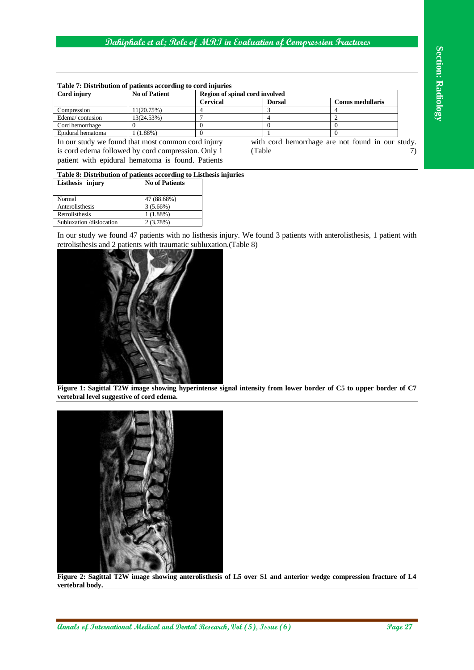| Table 7: Distribution of patients according to cord injuries |                      |                                |               |                  |  |
|--------------------------------------------------------------|----------------------|--------------------------------|---------------|------------------|--|
| Cord injury                                                  | <b>No of Patient</b> | Region of spinal cord involved |               |                  |  |
|                                                              |                      | Cervical                       | <b>Dorsal</b> | Conus medullaris |  |
| Compression                                                  | 11(20.75%)           |                                |               |                  |  |
| Edema/contusion                                              | 13(24.53%)           |                                |               |                  |  |
| Cord hemorrhage                                              |                      |                                |               |                  |  |
| Epidural hematoma                                            | $(1.88\%)$           |                                |               |                  |  |

In our study we found that most common cord injury is cord edema followed by cord compression. Only 1 patient with epidural hematoma is found. Patients with cord hemorrhage are not found in our study.  $(Table$   $7)$ 

| Table 8: Distribution of patients according to Listhesis injuries |                       |  |  |  |  |
|-------------------------------------------------------------------|-----------------------|--|--|--|--|
| Listhesis injury                                                  | <b>No of Patients</b> |  |  |  |  |
|                                                                   |                       |  |  |  |  |
| Normal                                                            | 47 (88.68%)           |  |  |  |  |
| Anterolisthesis                                                   | $3(5.66\%)$           |  |  |  |  |
| Retrolisthesis                                                    | 1(1.88%)              |  |  |  |  |

Subluxation /dislocation 2 (3.78%)

In our study we found 47 patients with no listhesis injury. We found 3 patients with anterolisthesis, 1 patient with retrolisthesis and 2 patients with traumatic subluxation.(Table 8)



**Figure 1: Sagittal T2W image showing hyperintense signal intensity from lower border of C5 to upper border of C7 vertebral level suggestive of cord edema.**



**Figure 2: Sagittal T2W image showing anterolisthesis of L5 over S1 and anterior wedge compression fracture of L4 vertebral body.**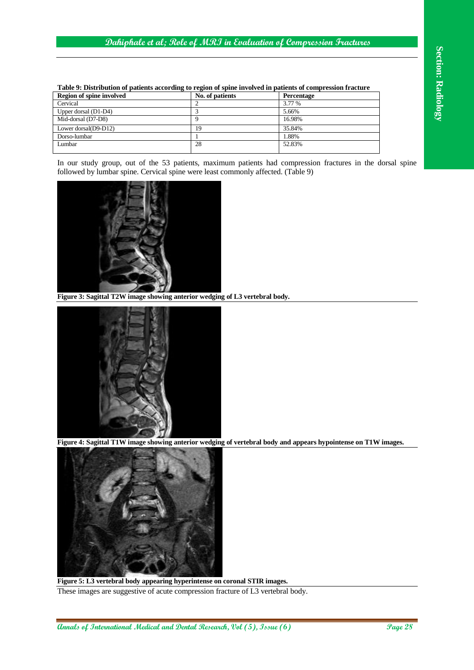| Region of spine involved | No. of patients | <b>Percentage</b> |
|--------------------------|-----------------|-------------------|
| Cervical                 |                 | 3.77 %            |
| Upper dorsal $(D1-D4)$   |                 | 5.66%             |
| Mid-dorsal (D7-D8)       |                 | 16.98%            |
| Lower dorsal(D9-D12)     | 19              | 35.84%            |
| Dorso-lumbar             |                 | 1.88%             |
| Lumbar                   | 28              | 52.83%            |

**Table 9: Distribution of patients according to region of spine involved in patients of compression fracture**

In our study group, out of the 53 patients, maximum patients had compression fractures in the dorsal spine followed by lumbar spine. Cervical spine were least commonly affected. (Table 9)



**Figure 3: Sagittal T2W image showing anterior wedging of L3 vertebral body.**



**Figure 4: Sagittal T1W image showing anterior wedging of vertebral body and appears hypointense on T1W images.**



**Figure 5: L3 vertebral body appearing hyperintense on coronal STIR images.** These images are suggestive of acute compression fracture of L3 vertebral body.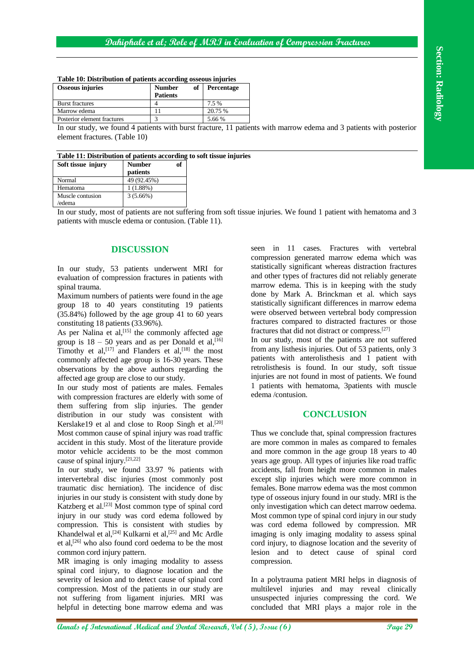| <b>Table To: Distribution of patients according osseous infuries</b> |                                        |                   |  |  |  |
|----------------------------------------------------------------------|----------------------------------------|-------------------|--|--|--|
| <b>Osseous injuries</b>                                              | of<br><b>Number</b><br><b>Patients</b> | <b>Percentage</b> |  |  |  |
| <b>Burst fractures</b>                                               |                                        | 7.5 %             |  |  |  |
| Marrow edema                                                         |                                        | 20.75 %           |  |  |  |
| Posterior element fractures                                          |                                        | 5.66 %            |  |  |  |

**Table 10: Distribution of patients according osseous injuries** 

In our study, we found 4 patients with burst fracture, 11 patients with marrow edema and 3 patients with posterior element fractures. (Table 10)

| Table 11: Distribution of patients according to soft tissue injuries |                    |    |  |  |  |
|----------------------------------------------------------------------|--------------------|----|--|--|--|
| Soft tissue injury                                                   | Number<br>patients | of |  |  |  |
| Normal                                                               | 49 (92.45%)        |    |  |  |  |
| Hematoma                                                             | 1 (1.88%)          |    |  |  |  |
| Muscle contusion                                                     | $3(5.66\%)$        |    |  |  |  |
| 'edema                                                               |                    |    |  |  |  |

In our study, most of patients are not suffering from soft tissue injuries. We found 1 patient with hematoma and 3 patients with muscle edema or contusion. (Table 11).

# **DISCUSSION**

In our study, 53 patients underwent MRI for evaluation of compression fractures in patients with spinal trauma.

Maximum numbers of patients were found in the age group 18 to 40 years constituting 19 patients (35.84%) followed by the age group 41 to 60 years constituting 18 patients (33.96%).

As per Nalina et  $al$ ,  $[15]$  the commonly affected age group is  $18 - 50$  years and as per Donald et al, [16] Timothy et al,  $[17]$  and Flanders et al,  $[18]$  the most commonly affected age group is 16-30 years. These observations by the above authors regarding the affected age group are close to our study.

In our study most of patients are males. Females with compression fractures are elderly with some of them suffering from slip injuries. The gender distribution in our study was consistent with Kerslake19 et al and close to Roop Singh et al.<sup>[20]</sup> Most common cause of spinal injury was road traffic accident in this study. Most of the literature provide motor vehicle accidents to be the most common cause of spinal injury.[21,22]

In our study, we found 33.97 % patients with intervertebral disc injuries (most commonly post traumatic disc herniation). The incidence of disc injuries in our study is consistent with study done by Katzberg et al. [23] Most common type of spinal cord injury in our study was cord edema followed by compression. This is consistent with studies by Khandelwal et al,<sup>[24]</sup> Kulkarni et al,<sup>[25]</sup> and Mc Ardle et al, [26] who also found cord oedema to be the most common cord injury pattern.

MR imaging is only imaging modality to assess spinal cord injury, to diagnose location and the severity of lesion and to detect cause of spinal cord compression. Most of the patients in our study are not suffering from ligament injuries. MRI was helpful in detecting bone marrow edema and was

seen in 11 cases. Fractures with vertebral compression generated marrow edema which was statistically significant whereas distraction fractures and other types of fractures did not reliably generate marrow edema. This is in keeping with the study done by Mark A. Brinckman et al. which says statistically significant differences in marrow edema were observed between vertebral body compression fractures compared to distracted fractures or those fractures that did not distract or compress. [27]

In our study, most of the patients are not suffered from any listhesis injuries. Out of 53 patients, only 3 patients with anterolisthesis and 1 patient with retrolisthesis is found. In our study, soft tissue injuries are not found in most of patients. We found 1 patients with hematoma, 3patients with muscle edema /contusion.

# **CONCLUSION**

**Analys the Phasical medical and the section of the section of the section of the section of the section of the section of the section of the section of the section of the section of the section of the section of the sect** Thus we conclude that, spinal compression fractures are more common in males as compared to females and more common in the age group 18 years to 40 years age group. All types of injuries like road traffic accidents, fall from height more common in males except slip injuries which were more common in females. Bone marrow edema was the most common type of osseous injury found in our study. MRI is the only investigation which can detect marrow oedema. Most common type of spinal cord injury in our study was cord edema followed by compression. MR imaging is only imaging modality to assess spinal cord injury, to diagnose location and the severity of lesion and to detect cause of spinal cord compression.

In a polytrauma patient MRI helps in diagnosis of multilevel injuries and may reveal clinically unsuspected injuries compressing the cord. We concluded that MRI plays a major role in the